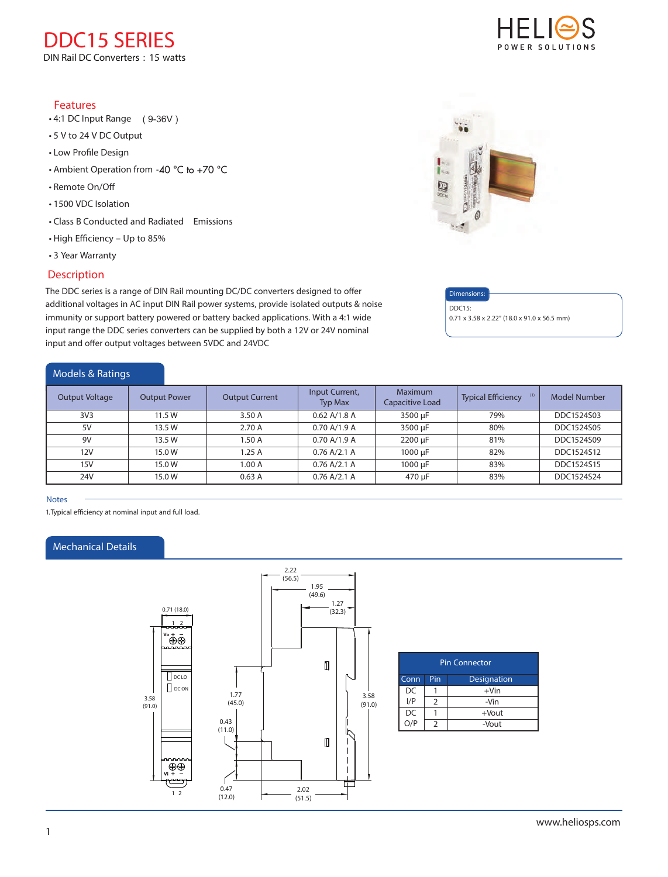**DDC15 SERIES DIN Rail DC Converters : 15 watts**

## Features

- 4:1 DC Input Range ( 9-36V )
- 5 V to 24 V DC Output
- Low Profile Design
- Ambient Operation from  $-40$  °C to  $+70$  °C
- Remote On/O
- 1500 VDC Isolation
- Class B Conducted and Radiated Emissions
- High Efficiency Up to 85%
- 3 Year Warranty

## **Description**

The DDC series is a range of DIN Rail mounting DC/DC converters designed to offer additional voltages in AC input DIN Rail power systems, provide isolated outputs & noise immunity or support battery powered or battery backed applications. With a 4:1 wide input range the DDC series converters can be supplied by both a 12V or 24V nominal input and offer output voltages between 5VDC and 24VDC

## Models & Ratings



### **Notes**

*1.Typical eciency at nominal input and full load.*

## Mechanical Details



| <b>Pin Connector</b> |               |             |  |  |  |
|----------------------|---------------|-------------|--|--|--|
| Conn                 | Pin           | Designation |  |  |  |
| DC                   |               | $+V$ in     |  |  |  |
| I/P                  | $\mathcal{P}$ | -Vin        |  |  |  |
| DC                   |               | $+$ Vout    |  |  |  |
| o<br>O/P             | $\mathcal{P}$ | -Vout       |  |  |  |





## Dimensions:

DDC15: 0.71 x 3.58 x 2.22" (18.0 x 91.0 x 56.5 mm)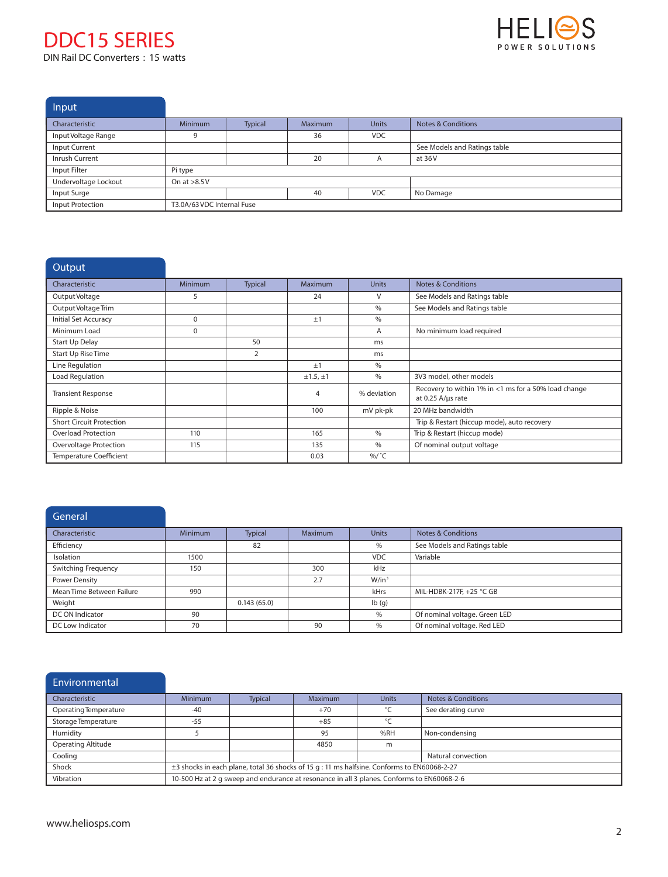# **DDC15 SERIES DIN Rail DC Converters : 15 watts**



**Input** 

| $\mathbf{u}$         |                            |                |                |              |                               |  |
|----------------------|----------------------------|----------------|----------------|--------------|-------------------------------|--|
| Characteristic       | <b>Minimum</b>             | <b>Typical</b> | <b>Maximum</b> | <b>Units</b> | <b>Notes &amp; Conditions</b> |  |
| Input Voltage Range  |                            |                | 36             | <b>VDC</b>   |                               |  |
| Input Current        |                            |                |                |              | See Models and Ratings table  |  |
| Inrush Current       |                            |                | 20             |              | at 36V                        |  |
| Input Filter         | Pi type                    |                |                |              |                               |  |
| Undervoltage Lockout | On at $>8.5V$              |                |                |              |                               |  |
| Input Surge          |                            |                | 40             | <b>VDC</b>   | No Damage                     |  |
| Input Protection     | T3.0A/63 VDC Internal Fuse |                |                |              |                               |  |

| Output                          |                |         |                |               |                                                                           |
|---------------------------------|----------------|---------|----------------|---------------|---------------------------------------------------------------------------|
| Characteristic                  | <b>Minimum</b> | Typical | <b>Maximum</b> | <b>Units</b>  | <b>Notes &amp; Conditions</b>                                             |
| Output Voltage                  | 5              |         | 24             | V             | See Models and Ratings table                                              |
| Output Voltage Trim             |                |         |                | $\%$          | See Models and Ratings table                                              |
| Initial Set Accuracy            | $\Omega$       |         | ±1             | $\%$          |                                                                           |
| Minimum Load                    | 0              |         |                | A             | No minimum load required                                                  |
| Start Up Delay                  |                | 50      |                | ms            |                                                                           |
| <b>Start Up Rise Time</b>       |                | 2       |                | ms            |                                                                           |
| Line Regulation                 |                |         | ±1             | $\frac{0}{0}$ |                                                                           |
| Load Regulation                 |                |         | ±1.5,±1        | $\%$          | 3V3 model, other models                                                   |
| <b>Transient Response</b>       |                |         | 4              | % deviation   | Recovery to within 1% in <1 ms for a 50% load change<br>at 0.25 A/µs rate |
| Ripple & Noise                  |                |         | 100            | mV pk-pk      | 20 MHz bandwidth                                                          |
| <b>Short Circuit Protection</b> |                |         |                |               | Trip & Restart (hiccup mode), auto recovery                               |
| <b>Overload Protection</b>      | 110            |         | 165            | $\%$          | Trip & Restart (hiccup mode)                                              |
| Overvoltage Protection          | 115            |         | 135            | $\%$          | Of nominal output voltage                                                 |
| <b>Temperature Coefficient</b>  |                |         | 0.03           | %/ °C         |                                                                           |

# **General**

| Characteristic            | <b>Minimum</b> | <b>Typical</b> | <b>Maximum</b> | <b>Units</b> | Notes & Conditions            |
|---------------------------|----------------|----------------|----------------|--------------|-------------------------------|
| Efficiency                |                | 82             |                | %            | See Models and Ratings table  |
| Isolation                 | 1500           |                |                | <b>VDC</b>   | Variable                      |
| Switching Frequency       | 150            |                | 300            | kHz          |                               |
| Power Density             |                |                | 2.7            | $W/in^3$     |                               |
| Mean Time Between Failure | 990            |                |                | kHrs         | MIL-HDBK-217F, +25 °C GB      |
| Weight                    |                | 0.143(65.0)    |                | Ib(q)        |                               |
| DC ON Indicator           | 90             |                |                | %            | Of nominal voltage. Green LED |
| DC Low Indicator          | 70             |                | 90             | %            | Of nominal voltage. Red LED   |

| Environmental             |                                                                                                  |                |         |              |                    |  |
|---------------------------|--------------------------------------------------------------------------------------------------|----------------|---------|--------------|--------------------|--|
| Characteristic            | <b>Minimum</b>                                                                                   | <b>Typical</b> | Maximum | <b>Units</b> | Notes & Conditions |  |
| Operating Temperature     | $-40$                                                                                            |                | $+70$   | °C           | See derating curve |  |
| Storage Temperature       | $-55$                                                                                            |                | $+85$   | $\circ$      |                    |  |
| Humidity                  |                                                                                                  |                | 95      | %RH          | Non-condensing     |  |
| <b>Operating Altitude</b> |                                                                                                  |                | 4850    | m            |                    |  |
| Cooling                   | Natural convection                                                                               |                |         |              |                    |  |
| Shock                     | $\pm$ 3 shocks in each plane, total 36 shocks of 15 q : 11 ms halfsine. Conforms to EN60068-2-27 |                |         |              |                    |  |
| Vibration                 | 10-500 Hz at 2 q sweep and endurance at resonance in all 3 planes. Conforms to EN60068-2-6       |                |         |              |                    |  |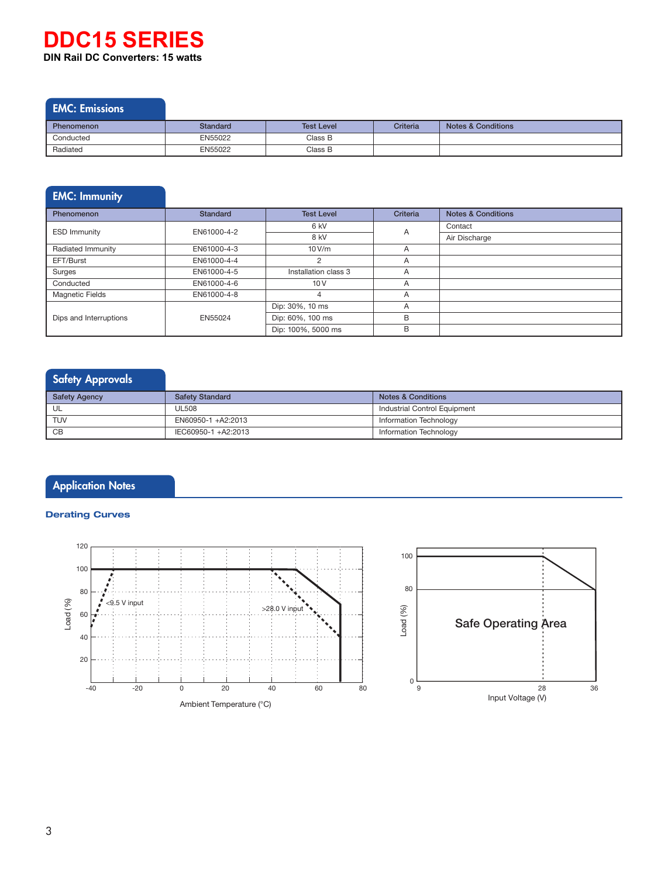# **DIN Rail DC Converters: 15 watts DDC15 SERIES**

# EMC: Emissions

| <b>Phenomenon</b> | Standard | <b>Test Level</b> | Criteria | <b>Notes &amp; Conditions</b> |
|-------------------|----------|-------------------|----------|-------------------------------|
| Conducted         | EN55022  | Class B           |          |                               |
| Radiated          | EN55022  | Class B           |          |                               |

# EMC: Immunity Phenomenon **Standard** Standard **Test Level Criteria** Notes & Conditions

| <b>ESD Immunity</b>    | EN61000-4-2 | 6 kV                 | A              | Contact       |
|------------------------|-------------|----------------------|----------------|---------------|
|                        |             | 8 kV                 |                | Air Discharge |
| Radiated Immunity      | EN61000-4-3 | 10 V/m               |                |               |
| EFT/Burst              | EN61000-4-4 |                      | A              |               |
| Surges                 | EN61000-4-5 | Installation class 3 | $\overline{A}$ |               |
| Conducted              | EN61000-4-6 | 10V                  | Α              |               |
| <b>Magnetic Fields</b> | EN61000-4-8 |                      | A              |               |
|                        |             | Dip: 30%, 10 ms      | A              |               |
| Dips and Interruptions | EN55024     | Dip: 60%, 100 ms     | в              |               |
|                        |             | Dip: 100%, 5000 ms   | B              |               |

# **Safety Approvals**

| <b>Safety Agency</b> | <b>Safety Standard</b> | <b>Notes &amp; Conditions</b> |
|----------------------|------------------------|-------------------------------|
| UL                   | UL508                  | Industrial Control Equipment  |
| <b>TUV</b>           | EN60950-1 +A2:2013     | Information Technology        |
| CВ                   | IEC60950-1 +A2:2013    | Information Technology        |

# **Application Notes**

## **Derating Curves**